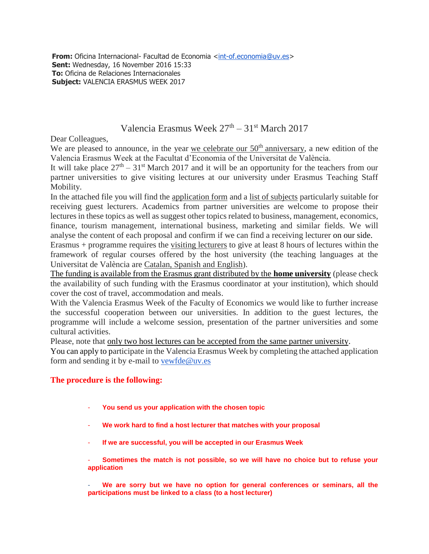**From:** Oficina Internacional- Facultad de Economia [<int-of.economia@uv.es>](mailto:int-of.economia@uv.es) **Sent:** Wednesday, 16 November 2016 15:33 **To:** Oficina de Relaciones Internacionales **Subject:** VALENCIA ERASMUS WEEK 2017

## Valencia Erasmus Week  $27<sup>th</sup> - 31<sup>st</sup>$  March 2017

Dear Colleagues,

We are pleased to announce, in the year we celebrate our  $50<sup>th</sup>$  anniversary, a new edition of the Valencia Erasmus Week at the Facultat d'Economia of the Universitat de València.

It will take place  $27<sup>th</sup> - 31<sup>st</sup>$  March 2017 and it will be an opportunity for the teachers from our partner universities to give visiting lectures at our university under Erasmus Teaching Staff Mobility.

In the attached file you will find the application form and a list of subjects particularly suitable for receiving guest lecturers. Academics from partner universities are welcome to propose their lectures in these topics as well as suggest other topics related to business, management, economics, finance, tourism management, international business, marketing and similar fields. We will analyse the content of each proposal and confirm if we can find a receiving lecturer on our side.

Erasmus + programme requires the visiting lecturers to give at least 8 hours of lectures within the framework of regular courses offered by the host university (the teaching languages at the Universitat de València are Catalan, Spanish and English).

The funding is available from the Erasmus grant distributed by the **home university** (please check the availability of such funding with the Erasmus coordinator at your institution), which should cover the cost of travel, accommodation and meals.

With the Valencia Erasmus Week of the Faculty of Economics we would like to further increase the successful cooperation between our universities. In addition to the guest lectures, the programme will include a welcome session, presentation of the partner universities and some cultural activities.

Please, note that only two host lectures can be accepted from the same partner university.

You can apply to participate in the Valencia Erasmus Week by completing the attached application form and sending it by e-mail to [vewfde@uv.es](mailto:vewfde@uv.es)

## **The procedure is the following:**

- **You send us your application with the chosen topic**
- **We work hard to find a host lecturer that matches with your proposal**
- **If we are successful, you will be accepted in our Erasmus Week**

- **Sometimes the match is not possible, so we will have no choice but to refuse your application**

We are sorry but we have no option for general conferences or seminars, all the **participations must be linked to a class (to a host lecturer)**